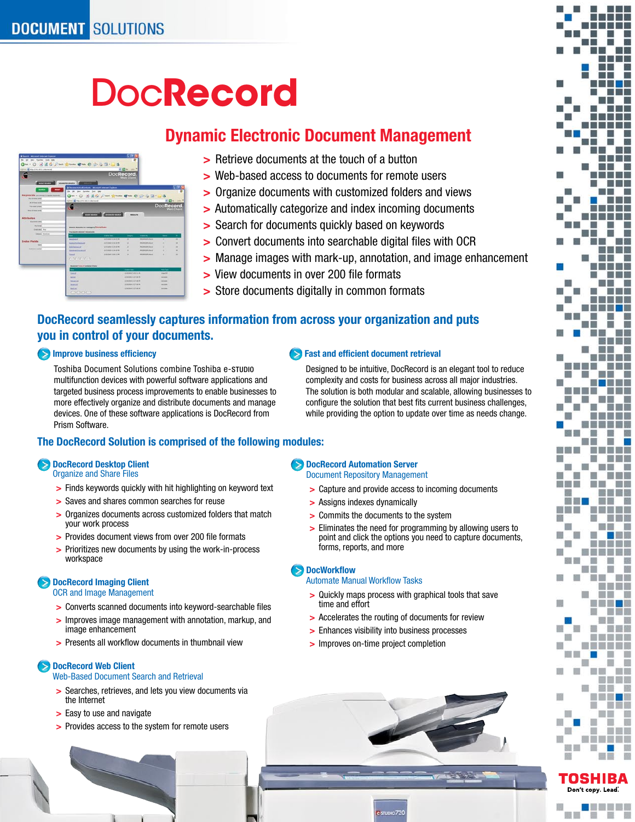# **DocRecord**

## **Dynamic Electronic Document Management**

| 2 Septish - Microsoft Edisorat Engraved |                                                                                           |                                        | m                                                       |                             |                                                     |                |
|-----------------------------------------|-------------------------------------------------------------------------------------------|----------------------------------------|---------------------------------------------------------|-----------------------------|-----------------------------------------------------|----------------|
| No. Life they Fareful Suit Help         |                                                                                           |                                        |                                                         |                             |                                                     |                |
|                                         | Q  . 0 3 3 4 J  1  9  0 3 3 3 3 3                                                         |                                        |                                                         |                             |                                                     |                |
| Aprox (@ tractive into a standard)      |                                                                                           |                                        |                                                         |                             |                                                     |                |
|                                         |                                                                                           | <b>DocRecord</b>                       |                                                         |                             |                                                     |                |
|                                         |                                                                                           |                                        |                                                         |                             |                                                     |                |
| <b>CONTRACTOR</b>                       | ADVANCED KENNING                                                                          |                                        |                                                         |                             |                                                     |                |
|                                         |                                                                                           |                                        |                                                         |                             |                                                     | m              |
|                                         | 3 The concentrate of policies. Witnessell Internet England<br>On the two Agrees took took |                                        |                                                         |                             |                                                     |                |
| Reywords inclining a speak homes.       |                                                                                           |                                        |                                                         |                             |                                                     |                |
| <b>Bo d'Anni surg</b>                   |                                                                                           | Om - 0 3 8 6 Pass from 8 m @ 3 4 5 - 3 |                                                         |                             |                                                     |                |
| <b>M. Crimes and B</b>                  | <b>GIVEN AD HALLY RELEASEMENT</b>                                                         |                                        |                                                         |                             |                                                     |                |
| Toda language and company               |                                                                                           |                                        |                                                         |                             | DocRecord                                           |                |
| <b>Sales of Great and G.</b>            |                                                                                           |                                        |                                                         |                             |                                                     |                |
|                                         |                                                                                           |                                        |                                                         |                             |                                                     |                |
|                                         |                                                                                           | <b>MATHEWS COMMERCIAL</b>              | <b>MARKET</b>                                           |                             |                                                     |                |
|                                         |                                                                                           |                                        |                                                         |                             |                                                     |                |
| <b>Basement same</b>                    |                                                                                           |                                        |                                                         |                             |                                                     |                |
| <b>TO FUTUR</b>                         | <b>Beach Basella for Calvany Effetsions</b>                                               |                                        |                                                         |                             |                                                     |                |
| <b>Steam case</b> Area                  | The most interest I provided                                                              |                                        |                                                         |                             |                                                     |                |
| <b>SERVICE MARINE</b>                   | -                                                                                         | <b>START CARD</b>                      | $\sim$                                                  | $-$                         | -                                                   | ٠              |
|                                         | <b>Benchmidt</b>                                                                          | <b>NORTHERN CHARLES</b>                | $\overline{a}$                                          | <b>Minimum Avenue</b>       | ٠                                                   | $\sim$         |
|                                         | <b>SAMUATALIANA</b>                                                                       | <b>ASTEROID AT LA 200 BK</b>           | $\overline{\phantom{a}}$                                | <b>MORDER AVE</b>           | ٠                                                   | ٠              |
| to a                                    | <b><i><u>International</u></i></b>                                                        | <b>USED MAY A 24-25 W</b>              | ×                                                       | <b>Brownship</b>            | ٠                                                   | $\overline{a}$ |
| <b>Turney writer</b>                    | <b><i><u>International Control</u></i></b>                                                | Additional is being by                 | ۰                                                       | <b><i>BURNISH PALIE</i></b> | ٠                                                   | ٠              |
| Attributes                              | <b>Sound</b>                                                                              | <b>Admiral &amp; British</b>           | ۰                                                       | <b>BURGLAND</b>             | ×                                                   | ۰              |
| <b>Index Fields</b>                     | $(4.1)$ (a) (a) (a)                                                                       |                                        |                                                         |                             |                                                     |                |
|                                         |                                                                                           |                                        |                                                         |                             |                                                     |                |
|                                         | <b>Broomwall</b> Torses of contains & Nowe                                                |                                        |                                                         |                             |                                                     |                |
|                                         | -                                                                                         |                                        | <b>Contract Contract</b>                                |                             | <b>STATISTICS</b>                                   |                |
|                                         | <b>Somal</b>                                                                              |                                        | Annahista Suite Ly Art                                  |                             | <b>Start</b>                                        |                |
|                                         | <b>Auto A</b>                                                                             |                                        | <b>STATISTICS STATISTICS</b><br>Sciences in the age and |                             | <b><i><u>Auditor</u></i></b><br><b>Subscription</b> |                |
|                                         | <b><i><u>heriotype</u></i></b>                                                            |                                        | <b>Annexies CZF races</b>                               |                             | <b>SHOW</b>                                         |                |
|                                         | <b>Anaeline</b><br><b>South Ad</b>                                                        |                                        | Linkswee 2.27 dec 44                                    |                             | <b>Substitute</b>                                   |                |

- Retrieve documents at the touch of a button **>**
- Web-based access to documents for remote users **>**
- Organize documents with customized folders and views **>**
- Automatically categorize and index incoming documents **>**
- Search for documents quickly based on keywords **>**
- Convert documents into searchable digital files with OCR **>**
- Manage images with mark-up, annotation, and image enhancement **>**

 **Fast and efficient document retrieval**

- View documents in over 200 file formats **>**
- Store documents digitally in common formats **>**

## **DocRecord seamlessly captures information from across your organization and puts you in control of your documents.**

### $\blacktriangleright$  **Improve business efficiency**

Toshiba Document Solutions combine Toshiba e-STUDIO multifunction devices with powerful software applications and targeted business process improvements to enable businesses to more effectively organize and distribute documents and manage devices. One of these software applications is DocRecord from Prism Software.

### **The DocRecord Solution is comprised of the following modules:**

### **DocRecord Desktop Client** Organize and Share Files

- Finds keywords quickly with hit highlighting on keyword text **>**
- Saves and shares common searches for reuse **>**
- Organizes documents across customized folders that match **>** your work process
- Provides document views from over 200 file formats **>**
- Prioritizes new documents by using the work-in-process **>** workspace

### **DocRecord Imaging Client**

OCR and Image Management

- Converts scanned documents into keyword-searchable files **>**
- Improves image management with annotation, markup, and **>** image enhancement
- Presents all workflow documents in thumbnail view **>**

### **DocRecord Web Client**

Web-Based Document Search and Retrieval

- Searches, retrieves, and lets you view documents via **>** the Internet
- Easy to use and navigate **>**
- Provides access to the system for remote users **>**

## **DocRecord Automation Server**

Document Repository Management

- Capture and provide access to incoming documents **>**
- Assigns indexes dynamically **>**
- Commits the documents to the system **>**
- Eliminates the need for programming by allowing users to **>** point and click the options you need to capture documents, forms, reports, and more

Designed to be intuitive, DocRecord is an elegant tool to reduce complexity and costs for business across all major industries. The solution is both modular and scalable, allowing businesses to configure the solution that best fits current business challenges, while providing the option to update over time as needs change.

### Automate Manual Workflow Tasks

- Quickly maps process with graphical tools that save **>** time and effort
- Accelerates the routing of documents for review **>**
- Enhances visibility into business processes **>**
- > Improves on-time project completion





題目

<u>a di Julia</u>

腹

言言曰

n a m

n D ▥ **College College** 

## **DocWorkflow**